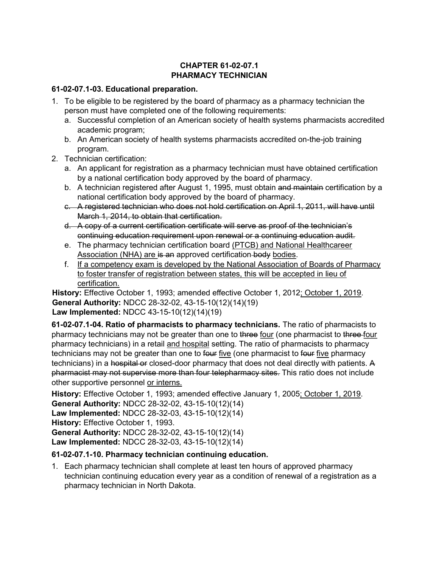## CHAPTER 61-02-07.1 PHARMACY TECHNICIAN

## 61-02-07.1-03. Educational preparation.

- 1. To be eligible to be registered by the board of pharmacy as a pharmacy technician the person must have completed one of the following requirements:
	- a. Successful completion of an American society of health systems pharmacists accredited academic program;
	- b. An American society of health systems pharmacists accredited on-the-job training program.
- 2. Technician certification:
	- a. An applicant for registration as a pharmacy technician must have obtained certification by a national certification body approved by the board of pharmacy.
	- b. A technician registered after August 1, 1995, must obtain and maintain certification by a national certification body approved by the board of pharmacy.
	- c. A registered technician who does not hold certification on April 1, 2011, will have until March 1, 2014, to obtain that certification.
	- d. A copy of a current certification certificate will serve as proof of the technician's continuing education requirement upon renewal or a continuing education audit.
	- e. The pharmacy technician certification board (PTCB) and National Healthcareer Association (NHA) are is an approved certification body bodies.
	- f. If a competency exam is developed by the National Association of Boards of Pharmacy to foster transfer of registration between states, this will be accepted in lieu of certification.

History: Effective October 1, 1993; amended effective October 1, 2012; October 1, 2019. General Authority: NDCC 28-32-02, 43-15-10(12)(14)(19) Law Implemented: NDCC 43-15-10(12)(14)(19)

61-02-07.1-04. Ratio of pharmacists to pharmacy technicians. The ratio of pharmacists to pharmacy technicians may not be greater than one to three four (one pharmacist to three-four pharmacy technicians) in a retail and hospital setting. The ratio of pharmacists to pharmacy technicians may not be greater than one to four five (one pharmacist to four five pharmacy technicians) in a hospital or closed-door pharmacy that does not deal directly with patients. A pharmacist may not supervise more than four telepharmacy sites. This ratio does not include other supportive personnel or interns.

History: Effective October 1, 1993; amended effective January 1, 2005; October 1, 2019. General Authority: NDCC 28-32-02, 43-15-10(12)(14) Law Implemented: NDCC 28-32-03, 43-15-10(12)(14) History: Effective October 1, 1993. General Authority: NDCC 28-32-02, 43-15-10(12)(14) Law Implemented: NDCC 28-32-03, 43-15-10(12)(14)

## 61-02-07.1-10. Pharmacy technician continuing education.

1. Each pharmacy technician shall complete at least ten hours of approved pharmacy technician continuing education every year as a condition of renewal of a registration as a pharmacy technician in North Dakota.